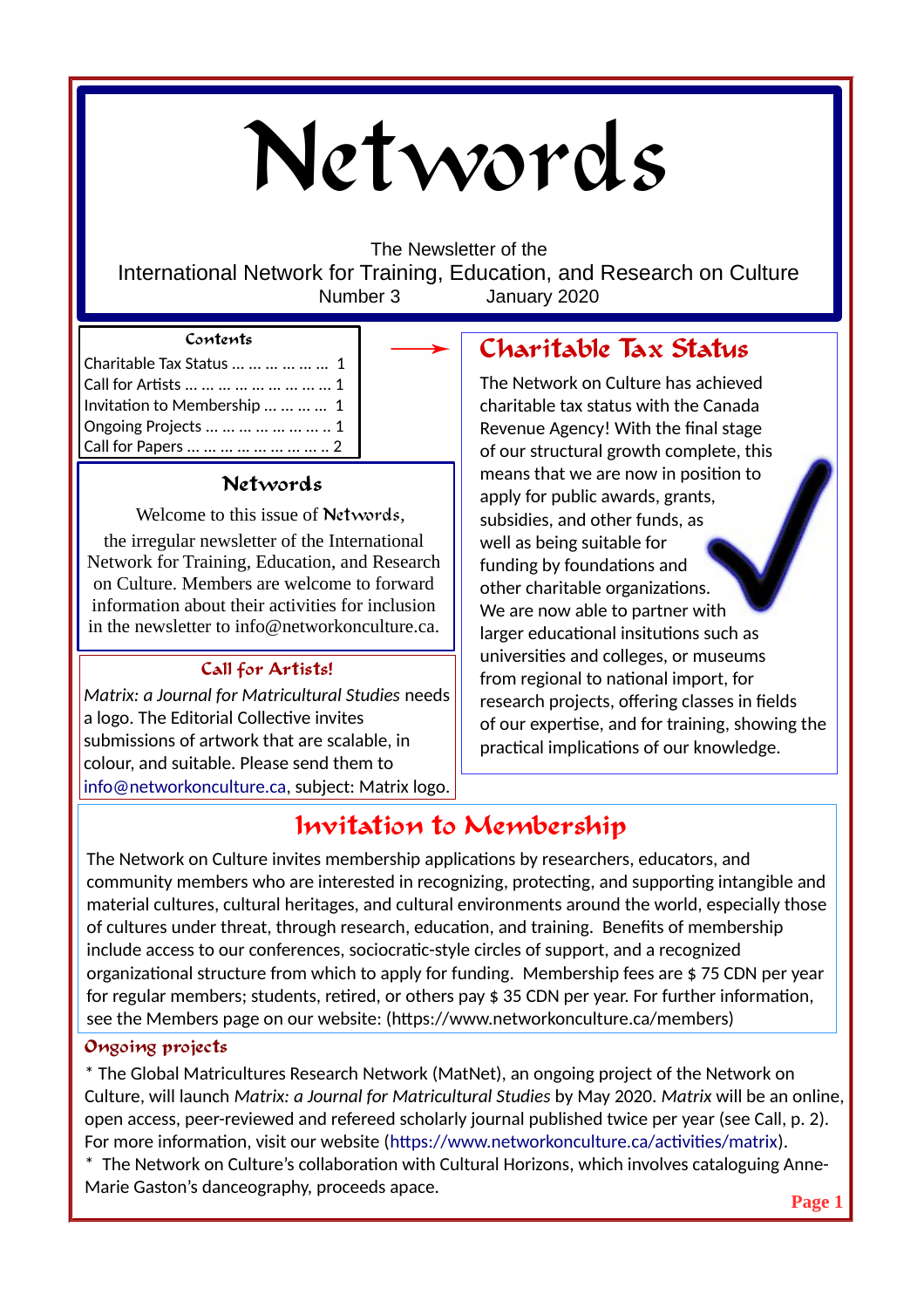# Networds

The Newsletter of the

International Network for Training, Education, and Research on Culture Number 3 January 2020

## **Contents**

| Charitable Tax Status       1  |  |
|--------------------------------|--|
|                                |  |
| Invitation to Membership     1 |  |
| Ongoing Projects        1      |  |
| Call for Papers         2      |  |

# **Networds**

Welcome to this issue of Networds,

the irregular newsletter of the International Network for Training, Education, and Research on Culture. Members are welcome to forward information about their activities for inclusion in the newsletter to info@networkonculture.ca.

# **Call for Artists!**

*Matrix: a Journal for Matricultural Studies* needs a logo. The Editorial Collective invites submissions of artwork that are scalable, in colour, and suitable. Please send them to [info@networkonculture.ca](mailto:info@networkonculture.ca), subject: Matrix logo.

# **Charitable Tax Status**

The Network on Culture has achieved charitable tax status with the Canada Revenue Agency! With the final stage of our structural growth complete, this means that we are now in position to apply for public awards, grants, subsidies, and other funds, as well as being suitable for funding by foundations and other charitable organizations. We are now able to partner with larger educational insitutions such as universities and colleges, or museums from regional to national import, for research projects, offering classes in fields of our expertise, and for training, showing the practical implications of our knowledge.

# **Invitation to Membership**

The Network on Culture invites membership applications by researchers, educators, and community members who are interested in recognizing, protecting, and supporting intangible and material cultures, cultural heritages, and cultural environments around the world, especially those of cultures under threat, through research, education, and training. Benefits of membership include access to our conferences, sociocratic-style circles of support, and a recognized organizational structure from which to apply for funding. Membership fees are \$ 75 CDN per year for regular members; students, retired, or others pay \$ 35 CDN per year. For further information, see the Members page on our website: (https://www.networkonculture.ca/members)

## **Ongoing projects**

\* The Global Matricultures Research Network (MatNet), an ongoing project of the Network on Culture, will launch *Matrix: a Journal for Matricultural Studies* by May 2020. *Matrix* will be an online, open access, peer-reviewed and refereed scholarly journal published twice per year (see Call, p. 2). For more information, visit our website ([https://www.networkonculture.ca/activities/matrix\)](https://www.networkonculture.ca/activities/matrix).

\* The Network on Culture's collaboration with Cultural Horizons, which involves cataloguing Anne-Marie Gaston's danceography, proceeds apace.